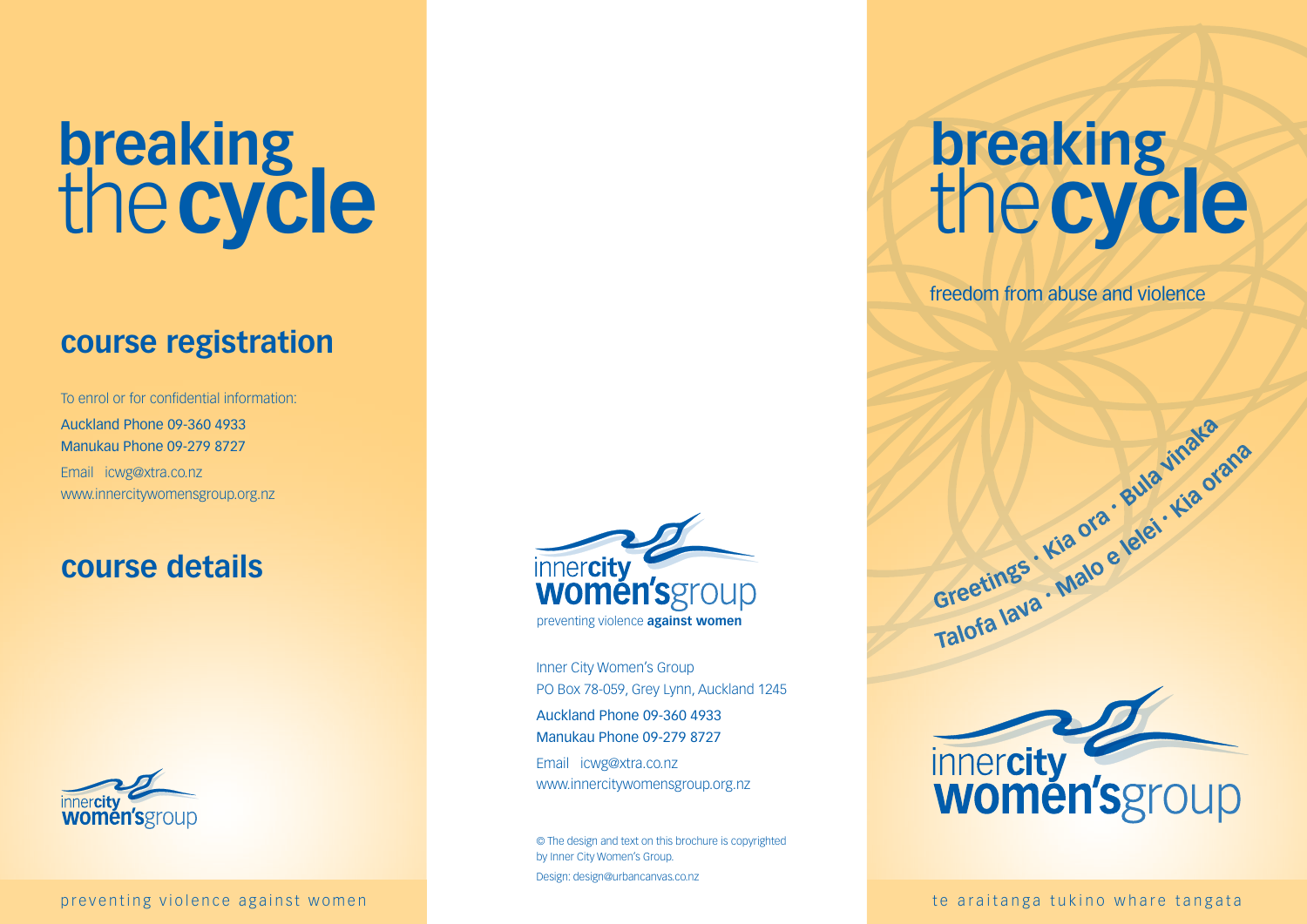# **breaking** the**cycle**

## **course registration**

To enrol or for confidential information: Auckland Phone 09-360 4933 Manukau Phone 09-279 8727 Email icwg@xtra.co.nz www.innercitywomensgroup.org.nz

### **course details**



preventing violence against women the araitang of the araitanga tukino whare tangata



Inner City Women's Group PO Box 78-059, Grey Lynn, Auckland 1245 Auckland Phone 09-360 4933 Manukau Phone 09-279 8727 Email icwg@xtra.co.nz

www.innercitywomensgroup.org.nz

© The design and text on this brochure is copyrighted by Inner City Women's Group. Design: design@urbancanvas.co.nz

## **breaking** the**cycle**

freedom from abuse and violence